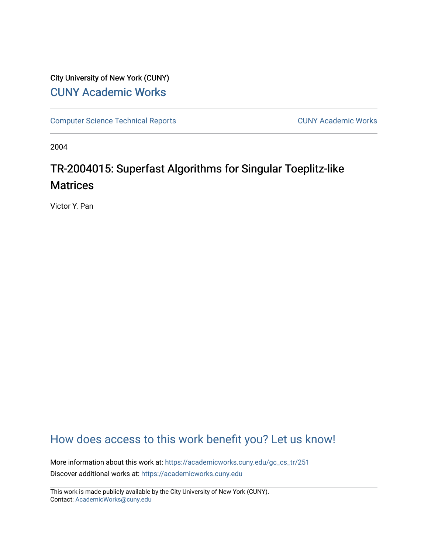# City University of New York (CUNY) [CUNY Academic Works](https://academicworks.cuny.edu/)

[Computer Science Technical Reports](https://academicworks.cuny.edu/gc_cs_tr) **CUNY Academic Works** CUNY Academic Works

2004

# TR-2004015: Superfast Algorithms for Singular Toeplitz-like **Matrices**

Victor Y. Pan

# [How does access to this work benefit you? Let us know!](http://ols.cuny.edu/academicworks/?ref=https://academicworks.cuny.edu/gc_cs_tr/251)

More information about this work at: [https://academicworks.cuny.edu/gc\\_cs\\_tr/251](https://academicworks.cuny.edu/gc_cs_tr/251)  Discover additional works at: [https://academicworks.cuny.edu](https://academicworks.cuny.edu/?)

This work is made publicly available by the City University of New York (CUNY). Contact: [AcademicWorks@cuny.edu](mailto:AcademicWorks@cuny.edu)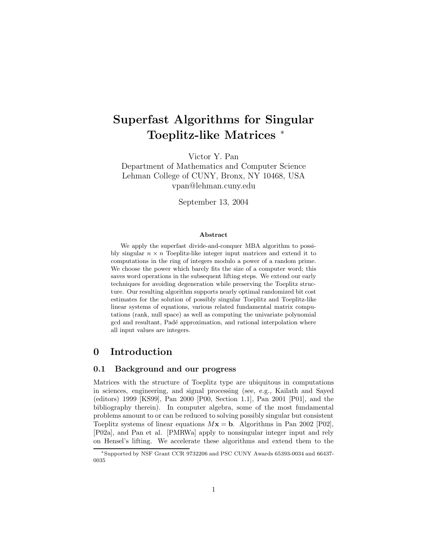# **Superfast Algorithms for Singular Toeplitz-like Matrices** <sup>∗</sup>

Victor Y. Pan

Department of Mathematics and Computer Science Lehman College of CUNY, Bronx, NY 10468, USA vpan@lehman.cuny.edu

September 13, 2004

#### **Abstract**

We apply the superfast divide-and-conquer MBA algorithm to possibly singular  $n \times n$  Toeplitz-like integer input matrices and extend it to computations in the ring of integers modulo a power of a random prime. We choose the power which barely fits the size of a computer word; this saves word operations in the subsequent lifting steps. We extend our early techniques for avoiding degeneration while preserving the Toeplitz structure. Our resulting algorithm supports nearly optimal randomized bit cost estimates for the solution of possibly singular Toeplitz and Toeplitz-like linear systems of equations, various related fundamental matrix computations (rank, null space) as well as computing the univariate polynomial gcd and resultant, Padé approximation, and rational interpolation where all input values are integers.

## **0 Introduction**

#### **0.1 Background and our progress**

Matrices with the structure of Toeplitz type are ubiquitous in computations in sciences, engineering, and signal processing (see, e.g., Kailath and Sayed (editors) 1999 [KS99], Pan 2000 [P00, Section 1.1], Pan 2001 [P01], and the bibliography therein). In computer algebra, some of the most fundamental problems amount to or can be reduced to solving possibly singular but consistent Toeplitz systems of linear equations  $Mx = b$ . Algorithms in Pan 2002 [P02], [P02a], and Pan et al. [PMRWa] apply to nonsingular integer input and rely on Hensel's lifting. We accelerate these algorithms and extend them to the

<sup>∗</sup>Supported by NSF Grant CCR 9732206 and PSC CUNY Awards 65393-0034 and 66437- 0035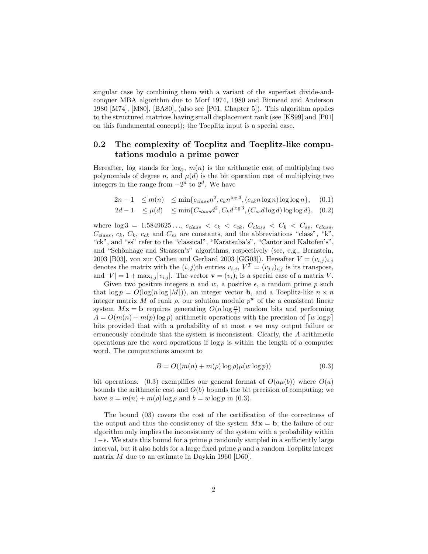singular case by combining them with a variant of the superfast divide-andconquer MBA algorithm due to Morf 1974, 1980 and Bitmead and Anderson 1980 [M74], [M80], [BA80], (also see [P01, Chapter 5]). This algorithm applies to the structured matrices having small displacement rank (see [KS99] and [P01] on this fundamental concept); the Toeplitz input is a special case.

#### **0.2 The complexity of Toeplitz and Toeplitz-like computations modulo a prime power**

Hereafter, log stands for  $log_2$ ,  $m(n)$  is the arithmetic cost of multiplying two<br>polynomials of degree  $n$ , and  $u(d)$  is the bit eperation cost of multiplying two polynomials of degree n, and  $\mu(d)$  is the bit operation cost of multiplying two integers in the range from  $-2^d$  to  $2^d$ . We have

$$
2n - 1 \le m(n) \le \min\{c_{class}n^2, c_kn^{\log 3}, (c_{ck}n\log n)\log\log n\}, \quad (0.1)
$$

$$
2d - 1 \le \mu(d) \le \min\{C_{class}d^2, C_k d^{\log 3}, (C_{ss}d \log d) \log \log d\}, \quad (0.2)
$$

where  $\log 3 = 1.5849625...$ ,  $c_{class} < c_k < c_{ck}$ ,  $C_{class} < C_k < C_{ss}$ ,  $c_{class}$ ,  $C_{class}, c_k, C_k, c_{ck}$  and  $C_{ss}$  are constants, and the abbreviations "class", "k", "ck", and "ss" refer to the "classical", "Karatsuba's", "Cantor and Kaltofen's", and "Schönhage and Strassen's" algorithms, respectively (see, e.g., Bernstein, 2003 [B03], von zur Cathen and Gerhard 2003 [GG03]). Hereafter  $V = (v_{i,j})_{i,j}$ denotes the matrix with the  $(i, j)$ th entries  $v_{i,j}$ ,  $V^T = (v_{j,i})_{i,j}$  is its transpose, and  $|V| = 1 + \max_{i,j} |v_{i,j}|$ . The vector  $\mathbf{v} = (v_i)_i$  is a special case of a matrix V.

Given two positive integers n and w, a positive  $\epsilon$ , a random prime p such that  $\log p = O(\log(n \log|M|))$ , an integer vector **b**, and a Toeplitz-like  $n \times n$ integer matrix M of rank  $\rho$ , our solution modulo  $p^w$  of the a consistent linear system  $M$ **x** = **b** requires generating  $O(n \log \frac{n}{\epsilon})$  random bits and performing  $A = O(m(n) + m(n) \log n)$  suithmetic operations with the precision of  $[w]$  $A = O(m(n) + m(p) \log p)$  arithmetic operations with the precision of  $[w \log p]$ bits provided that with a probability of at most  $\epsilon$  we may output failure or erroneously conclude that the system is inconsistent. Clearly, the  $A$  arithmetic operations are the word operations if  $\log p$  is within the length of a computer word. The computations amount to

$$
B = O((m(n) + m(\rho) \log \rho)\mu(w \log p))
$$
\n(0.3)

bit operations. (0.3) exemplifies our general format of  $O(a\mu(b))$  where  $O(a)$ bounds the arithmetic cost and  $O(b)$  bounds the bit precision of computing; we have  $a = m(n) + m(\rho) \log \rho$  and  $b = w \log p$  in (0.3).

The bound (03) covers the cost of the certification of the correctness of the output and thus the consistency of the system  $Mx = b$ ; the failure of our algorithm only implies the inconsistency of the system with a probability within  $1-\epsilon$ . We state this bound for a prime p randomly sampled in a sufficiently large interval, but it also holds for a large fixed prime p and a random Toeplitz integer matrix  $M$  due to an estimate in Daykin 1960 [D60].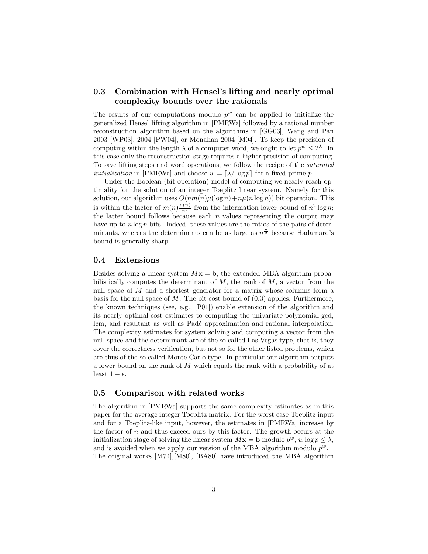#### **0.3 Combination with Hensel's lifting and nearly optimal complexity bounds over the rationals**

The results of our computations modulo  $p^w$  can be applied to initialize the generalized Hensel lifting algorithm in [PMRWa] followed by a rational number reconstruction algorithm based on the algorithms in [GG03], Wang and Pan 2003 [WP03], 2004 [PW04], or Monahan 2004 [M04]. To keep the precision of computing within the length  $\lambda$  of a computer word, we ought to let  $p^w \leq 2^{\lambda}$ . In this case only the reconstruction stage requires a higher precision of computing. To save lifting steps and word operations, we follow the recipe of the *saturated initialization* in [PMRWa] and choose  $w = \lceil \lambda / \log p \rceil$  for a fixed prime p.

Under the Boolean (bit-operation) model of computing we nearly reach optimality for the solution of an integer Toeplitz linear system. Namely for this solution, our algorithm uses  $O(nm(n)\mu(\log n)+n\mu(n\log n))$  bit operation. This is within the factor of  $m(n)\frac{\mu(n)}{n^2}$  from the information lower bound of  $n^2 \log n$ ; the latter bound follows because each  $n$  values representing the output may have up to  $n \log n$  bits. Indeed, these values are the ratios of the pairs of determinants, whereas the determinants can be as large as  $n^{\frac{n}{2}}$  because Hadamard's bound is generally sharp.

#### **0.4 Extensions**

Besides solving a linear system  $Mx = b$ , the extended MBA algorithm probabilistically computes the determinant of  $M$ , the rank of  $M$ , a vector from the null space of M and a shortest generator for a matrix whose columns form a basis for the null space of  $M$ . The bit cost bound of  $(0.3)$  applies. Furthermore, the known techniques (see, e.g., [P01]) enable extension of the algorithm and its nearly optimal cost estimates to computing the univariate polynomial gcd, lcm, and resultant as well as Padé approximation and rational interpolation. The complexity estimates for system solving and computing a vector from the null space and the determinant are of the so called Las Vegas type, that is, they cover the correctness verification, but not so for the other listed problems, which are thus of the so called Monte Carlo type. In particular our algorithm outputs a lower bound on the rank of M which equals the rank with a probability of at least  $1 - \epsilon$ .

#### **0.5 Comparison with related works**

The algorithm in [PMRWa] supports the same complexity estimates as in this paper for the average integer Toeplitz matrix. For the worst case Toeplitz input and for a Toeplitz-like input, however, the estimates in [PMRWa] increase by the factor of  $n$  and thus exceed ours by this factor. The growth occurs at the initialization stage of solving the linear system  $M\mathbf{x} = \mathbf{b}$  modulo  $p^w$ , w log  $p \leq \lambda$ , and is avoided when we apply our version of the MBA algorithm modulo  $p^w$ . The original works [M74],[M80], [BA80] have introduced the MBA algorithm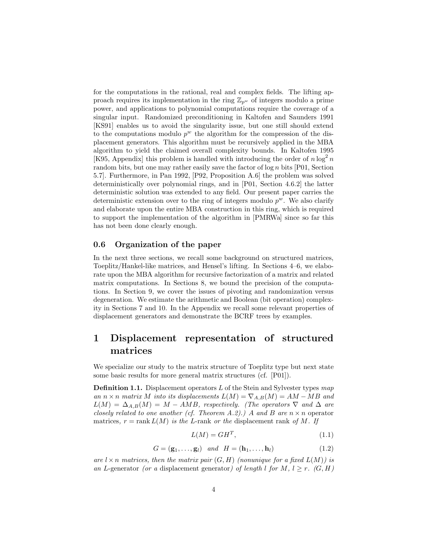for the computations in the rational, real and complex fields. The lifting approach requires its implementation in the ring  $\mathbb{Z}_{p^w}$  of integers modulo a prime power, and applications to polynomial computations require the coverage of a singular input. Randomized preconditioning in Kaltofen and Saunders 1991 [KS91] enables us to avoid the singularity issue, but one still should extend to the computations modulo  $p^w$  the algorithm for the compression of the displacement generators. This algorithm must be recursively applied in the MBA algorithm to yield the claimed overall complexity bounds. In Kaltofen 1995 [K95, Appendix] this problem is handled with introducing the order of  $n \log^2 n$ random bits, but one may rather easily save the factor of  $\log n$  bits [P01, Section 5.7]. Furthermore, in Pan 1992, [P92, Proposition A.6] the problem was solved deterministically over polynomial rings, and in [P01, Section 4.6.2] the latter deterministic solution was extended to any field. Our present paper carries the deterministic extension over to the ring of integers modulo  $p^w$ . We also clarify and elaborate upon the entire MBA construction in this ring, which is required to support the implementation of the algorithm in [PMRWa] since so far this has not been done clearly enough.

#### **0.6 Organization of the paper**

In the next three sections, we recall some background on structured matrices, Toeplitz/Hankel-like matrices, and Hensel's lifting. In Sections 4–6, we elaborate upon the MBA algorithm for recursive factorization of a matrix and related matrix computations. In Sections 8, we bound the precision of the computations. In Section 9, we cover the issues of pivoting and randomization versus degeneration. We estimate the arithmetic and Boolean (bit operation) complexity in Sections 7 and 10. In the Appendix we recall some relevant properties of displacement generators and demonstrate the BCRF trees by examples.

# **1 Displacement representation of structured matrices**

We specialize our study to the matrix structure of Toeplitz type but next state some basic results for more general matrix structures (cf. [P01]).

**Definition 1.1.** Displacement operators <sup>L</sup> of the Stein and Sylvester types *map an*  $n \times n$  *matrix* M *into its displacements*  $L(M) = \nabla_{A,B}(M) = AM - MB$  *and*  $L(M) = \Delta_{A,B}(M) = M - AMB$ , respectively. (The operators  $\nabla$  and  $\Delta$  are *closely related to one another (cf. Theorem A.2).)* A and B are  $n \times n$  operator matrices,  $r = \text{rank } L(M)$  *is the L*-rank *or the* displacement rank *of* M. If

$$
L(M) = GH^T,\t\t(1.1)
$$

$$
G = (\mathbf{g}_1, \dots, \mathbf{g}_l) \quad \text{and} \quad H = (\mathbf{h}_1, \dots, \mathbf{h}_l) \tag{1.2}
$$

*are*  $l \times n$  *matrices, then the matrix pair*  $(G, H)$  *(nonunique for a fixed*  $L(M)$ *) is an* L-generator (or a displacement generator) of length l for M,  $l \geq r$ . (G, H)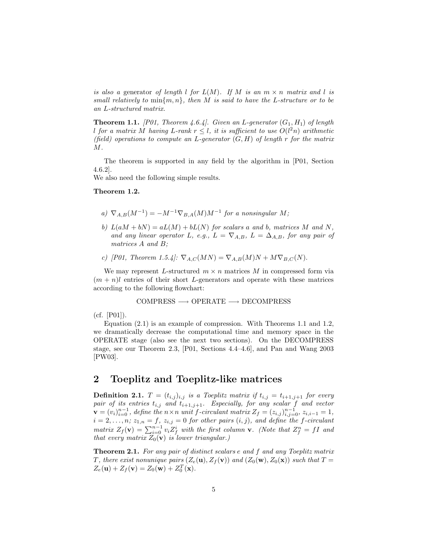*is also a* generator *of length* l *for*  $L(M)$ *. If* M *is an*  $m \times n$  *matrix and* l *is small relatively to* min{m, n}*, then* M *is said to have the* L*-structure or to be an* L*-structured matrix.*

**Theorem 1.1.** *[P01, Theorem 4.6.4]. Given an L-generator*  $(G_1, H_1)$  *of length l* for a matrix M having L-rank  $r \leq l$ , it is sufficient to use  $O(l^2n)$  arithmetic *(field) operations to compute an* L*-generator* (G, H) *of length* r *for the matrix* M*.*

The theorem is supported in any field by the algorithm in [P01, Section 4.6.2].

We also need the following simple results.

- *a*)  $\nabla_{A,B}(M^{-1}) = -M^{-1}\nabla_{B,A}(M)M^{-1}$  *for a nonsingular* M;
- *b)*  $L(aM + bN) = aL(M) + bL(N)$  *for scalars* a *and b, matrices* M *and* N, and any linear operator L, e.g.,  $L = \nabla_{A,B}$ ,  $L = \Delta_{A,B}$ , for any pair of *matrices* A *and* B*;*
- *c)* [P01, Theorem 1.5.4]:  $\nabla_{A,C}(MN) = \nabla_{A,B}(M)N + M \nabla_{B,C}(N)$ .

We may represent L-structured  $m \times n$  matrices M in compressed form via  $(m + n)$ l entries of their short L-generators and operate with these matrices according to the following flowchart:

$$
COMPRESS \longrightarrow OPERATE \longrightarrow DECOMPRESS
$$

(cf. [P01]).

Equation (2.1) is an example of compression. With Theorems 1.1 and 1.2, we dramatically decrease the computational time and memory space in the OPERATE stage (also see the next two sections). On the DECOMPRESS stage, see our Theorem 2.3, [P01, Sections 4.4–4.6], and Pan and Wang 2003 [PW03].

#### **2 Toeplitz and Toeplitz-like matrices**

**Definition 2.1.**  $T = (t_{i,j})_{i,j}$  *is a Toeplitz matrix if*  $t_{i,j} = t_{i+1,j+1}$  *for every pair of its entries*  $t_{i,j}$  *and*  $t_{i+1,j+1}$ *. Especially, for any scalar* f *and vector*<br> $\ldots$  (*a*)<sup>*n*-1</sup> define the pair *f* circulant matrix  $Z$  (*a*)<sup>*n*-1</sup> *x*  $\mathbf{v} = (v_i)_{i=0}^{n-1},$  define the  $n \times n$  unit f-circulant matrix  $Z_f = (z_{i,j})_{i,j=0}^{n-1}, z_{i,i-1} = 1,$ <br>  $\mathbf{v} = 2, \quad n: z_i = -1, z_i = 0$  for other pairs  $(i, j)$  and define the f-circulant  $i = 2, \ldots, n; z_{1,n} = f, z_{i,j} = 0$  for other pairs  $(i, j)$ , and define the f-circulant *matrix*  $Z_f(\mathbf{v}) = \sum_{i=0}^{n-1} v_i Z_f^i$  with the first column **v***.* (Note that  $Z_f^n = fI$  and that every matrix  $Z_o(\mathbf{v})$  is lower triangular.) *that every matrix*  $Z_0(\mathbf{v})$  *is lower triangular.*)

**Theorem 2.1.** *For any pair of distinct scalars* <sup>e</sup> *and* <sup>f</sup> *and any Toeplitz matrix T*, there exist nonunique pairs  $(Z_e(\mathbf{u}), Z_f(\mathbf{v}))$  and  $(Z_0(\mathbf{w}), Z_0(\mathbf{x}))$  such that  $T =$  $Z_e(\mathbf{u}) + Z_f(\mathbf{v}) = Z_0(\mathbf{w}) + Z_0^T(\mathbf{x}).$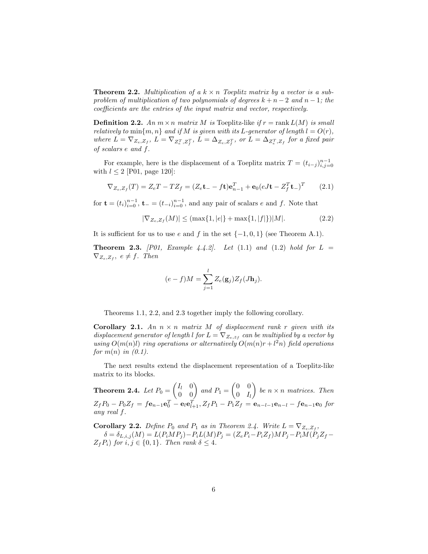**Theorem 2.2.** *Multiplication of a*  $k \times n$  *Toeplitz matrix by a vector is a subproblem of multiplication of two polynomials of degrees*  $k + n - 2$  *and*  $n - 1$ *; the coefficients are the entries of the input matrix and vector, respectively.*

**Definition 2.2.** An  $m \times n$  matrix M is Toeplitz-like if  $r = \text{rank } L(M)$  is small *relatively to*  $\min\{m, n\}$  *and if* M *is given with its* L-generator of length  $l = O(r)$ *,*  $where L = \nabla_{Z_e, Z_f}, L = \nabla_{Z_e^T, Z_f^T}, L = \Delta_{Z_e, Z_f^T}, or L = \Delta_{Z_e^T, Z_f} for a fixed pair$ *of scalars* e *and* f*.*

For example, here is the displacement of a Toeplitz matrix  $T = (t_{i-j})_{i,j=0}^{n-1}$ <br>h  $l < 2$  [P01, page 120] with  $l \leq 2$  [P01, page 120]:

$$
\nabla_{Z_e, Z_f}(T) = Z_e T - T Z_f = (Z_e \mathbf{t}_- - f \mathbf{t}) \mathbf{e}_{n-1}^T + \mathbf{e}_0 (eJ \mathbf{t} - Z_f^T \mathbf{t}_-)^T \qquad (2.1)
$$

for  $\mathbf{t} = (t_i)_{i=0}^{n-1}$ ,  $\mathbf{t}_{-} = (t_{-i})_{i=0}^{n-1}$ , and any pair of scalars *e* and *f*. Note that

$$
|\nabla_{Z_e, Z_f}(M)| \le (\max\{1, |e|\} + \max\{1, |f|\}) |M|.
$$
 (2.2)

It is sufficient for us to use e and f in the set  $\{-1,0,1\}$  (see Theorem A.1).

**Theorem 2.3.** *[P01, Example 4.4.2].* Let  $(1.1)$  and  $(1.2)$  hold for  $L =$  $\nabla_{Z_e, Z_f}$ ,  $e \neq f$ . Then

$$
(e-f)M = \sum_{j=1}^{l} Z_e(\mathbf{g}_j) Z_f(J\mathbf{h}_j).
$$

Theorems 1.1, 2.2, and 2.3 together imply the following corollary.

**Corollary 2.1.** An  $n \times n$  *matrix* M *of displacement rank* r *given with its displacement generator of length* l *for*  $L = \nabla_{Z_e, z_f}$  *can be multiplied by a vector by using*  $O(m(n)l)$  *ring operations or alternatively*  $O(m(n)r + l^2n)$  *field operations for* m(n) *in (0.1).*

The next results extend the displacement representation of a Toeplitz-like matrix to its blocks.

**Theorem 2.4.** *Let*  $P_0 = \begin{pmatrix} I_l & 0 \\ 0 & 0 \end{pmatrix}$  and  $P_1 = \begin{pmatrix} 0 & 0 \\ 0 & I_l \end{pmatrix}$  $0$   $I_l$ *be*  $n \times n$  *matrices. Then*  $Z_f P_0 - P_0 Z_f = f \mathbf{e}_{n-1} \mathbf{e}_0^T - \mathbf{e}_l \mathbf{e}_{l+1}^T, Z_f P_1 - P_1 Z_f = \mathbf{e}_{n-l-1} \mathbf{e}_{n-l} - f \mathbf{e}_{n-1} \mathbf{e}_0$  for *any real* f*.*

**Corollary 2.2.** *Define*  $P_0$  *and*  $P_1$  *as in Theorem 2.4. Write*  $L = \nabla_{Z_e, Z_f}$ ,  $\delta = \delta_{L,i,j}(M) = L(P_iMP_j) - P_iL(M)P_j = (Z_eP_i - P_iZ_f)MP_j - P_iM(P_jZ_f - P_jP_j)P_j$  $Z_fP_i$ ) *for*  $i, j \in \{0, 1\}$ *. Then rank*  $\delta \leq 4$ *.*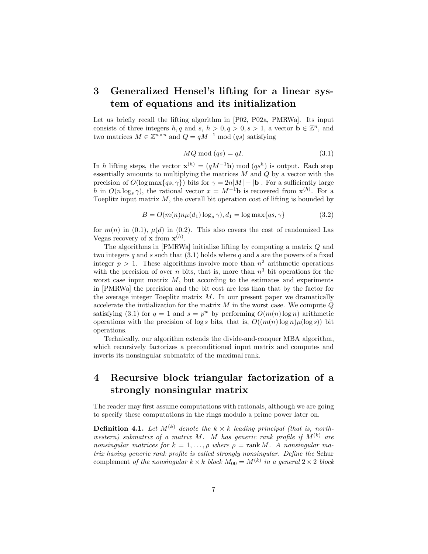# **3 Generalized Hensel's lifting for a linear system of equations and its initialization**

Let us briefly recall the lifting algorithm in [P02, P02a, PMRWa]. Its input consists of three integers  $h, q$  and  $s, h > 0, q > 0, s > 1$ , a vector  $\mathbf{b} \in \mathbb{Z}^n$ , and two matrices  $M \in \mathbb{Z}^{n \times n}$  and  $Q = qM^{-1} \text{ mod } (qs)$  satisfying

$$
MQ \bmod (qs) = qI. \tag{3.1}
$$

In h lifting steps, the vector  $\mathbf{x}^{(h)} = (qM^{-1}\mathbf{b}) \bmod (qs^h)$  is output. Each step essentially amounts to multiplying the matrices  $M$  and  $Q$  by a vector with the precision of  $O(\log \max\{qs, \gamma\})$  bits for  $\gamma = 2n|M| + |\mathbf{b}|$ . For a sufficiently large h in  $O(n \log_{\epsilon} \gamma)$ , the rational vector  $x = M^{-1}$ **b** is recovered from  $\mathbf{x}^{(h)}$ . For a Toeplitz input matrix  $M$ , the overall bit operation cost of lifting is bounded by

$$
B = O(m(n)n\mu(d_1)\log_s \gamma), d_1 = \log \max\{qs, \gamma\}
$$
\n(3.2)

for  $m(n)$  in (0.1),  $\mu(d)$  in (0.2). This also covers the cost of randomized Las Vegas recovery of **x** from  $\mathbf{x}^{(h)}$ .<br>The algorithms in [PMRW]

The algorithms in [PMRWa] initialize lifting by computing a matrix Q and two integers q and s such that  $(3.1)$  holds where q and s are the powers of a fixed integer  $p > 1$ . These algorithms involve more than  $n^2$  arithmetic operations with the precision of over n bits, that is, more than  $n<sup>3</sup>$  bit operations for the worst case input matrix  $M$ , but according to the estimates and experiments in [PMRWa] the precision and the bit cost are less than that by the factor for the average integer Toeplitz matrix  $M$ . In our present paper we dramatically accelerate the initialization for the matrix  $M$  in the worst case. We compute  $Q$ satisfying (3.1) for  $q = 1$  and  $s = p^w$  by performing  $O(m(n) \log n)$  arithmetic operations with the precision of log s bits, that is,  $O((m(n) \log n) \mu(\log s))$  bit operations.

Technically, our algorithm extends the divide-and-conquer MBA algorithm, which recursively factorizes a preconditioned input matrix and computes and inverts its nonsingular submatrix of the maximal rank.

# **4 Recursive block triangular factorization of a strongly nonsingular matrix**

The reader may first assume computations with rationals, although we are going to specify these computations in the rings modulo a prime power later on.

**Definition 4.1.** Let  $M^{(k)}$  denote the  $k \times k$  leading principal (that is, north*western)* submatrix of a matrix M. M has generic rank profile if  $M^{(k)}$  are *nonsingular matrices for*  $k = 1, \ldots, \rho$  where  $\rho = \text{rank } M$ . A nonsingular ma*trix having generic rank profile is called strongly nonsingular. Define the* Schur complement *of the nonsingular*  $k \times k$  *block*  $M_{00} = M^{(k)}$  *in a general*  $2 \times 2$  *block*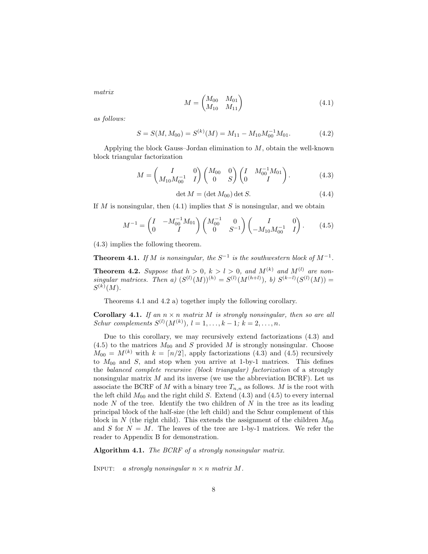*matrix*

$$
M = \begin{pmatrix} M_{00} & M_{01} \\ M_{10} & M_{11} \end{pmatrix} \tag{4.1}
$$

*as follows:*

$$
S = S(M, M_{00}) = S^{(k)}(M) = M_{11} - M_{10} M_{00}^{-1} M_{01}.
$$
 (4.2)

Applying the block Gauss–Jordan elimination to  $M$ , obtain the well-known block triangular factorization

$$
M = \begin{pmatrix} I & 0 \\ M_{10} M_{00}^{-1} & I \end{pmatrix} \begin{pmatrix} M_{00} & 0 \\ 0 & S \end{pmatrix} \begin{pmatrix} I & M_{00}^{-1} M_{01} \\ 0 & I \end{pmatrix}.
$$
 (4.3)

det  $M = (\det M_{00}) \det S$ . (4.4)

If M is nonsingular, then  $(4.1)$  implies that S is nonsingular, and we obtain

$$
M^{-1} = \begin{pmatrix} I & -M_{00}^{-1} M_{01} \\ 0 & I \end{pmatrix} \begin{pmatrix} M_{00}^{-1} & 0 \\ 0 & S^{-1} \end{pmatrix} \begin{pmatrix} I & 0 \\ -M_{10} M_{00}^{-1} & I \end{pmatrix}.
$$
 (4.5)

(4.3) implies the following theorem.

**Theorem 4.1.** *If* M *is nonsingular, the*  $S^{-1}$  *is the southwestern block of*  $M^{-1}$ *.* 

**Theorem 4.2.** *Suppose that*  $h > 0$ ,  $k > l > 0$ , and  $M^{(k)}$  and  $M^{(l)}$  are non*singular matrices. Then a)*  $(S^{(l)}(M))^{(h)} = S^{(l)}(M^{(h+l)}), b) S^{(k-l)}(S^{(l)}(M)) =$  $S^{(k)}(M)$ .

Theorems 4.1 and 4.2 a) together imply the following corollary.

**Corollary 4.1.** *If an*  $n \times n$  *matrix M is strongly nonsingular, then so are all Schur complements*  $S^{(l)}(M^{(k)}), l = 1, ..., k - 1; k = 2, ..., n$ .

Due to this corollary, we may recursively extend factorizations (4.3) and  $(4.5)$  to the matrices  $M_{00}$  and S provided M is strongly nonsingular. Choose  $M_{00} = M^{(k)}$  with  $k = \lfloor n/2 \rfloor$ , apply factorizations (4.3) and (4.5) recursively to  $M_{00}$  and  $S$ , and stop when you arrive at 1-by-1 matrices. This defines the *balanced complete recursive (block triangular) factorization* of a strongly nonsingular matrix  $M$  and its inverse (we use the abbreviation BCRF). Let us associate the BCRF of M with a binary tree  $T_{n,n}$  as follows. M is the root with the left child  $M_{00}$  and the right child S. Extend (4.3) and (4.5) to every internal node  $N$  of the tree. Identify the two children of  $N$  in the tree as its leading principal block of the half-size (the left child) and the Schur complement of this block in N (the right child). This extends the assignment of the children  $M_{00}$ and S for  $N = M$ . The leaves of the tree are 1-by-1 matrices. We refer the reader to Appendix B for demonstration.

**Algorithm 4.1.** *The BCRF of a strongly nonsingular matrix.*

INPUT: *a strongly nonsingular*  $n \times n$  *matrix* M.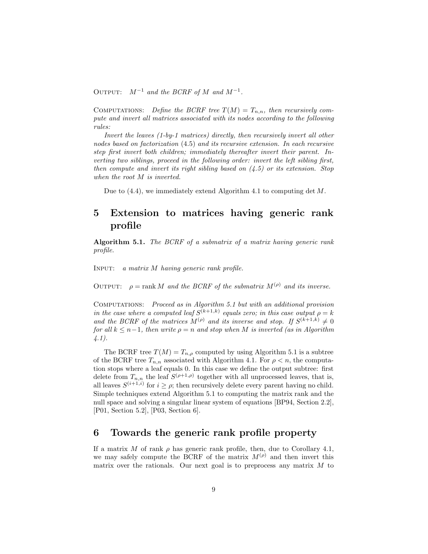OUTPUT:  $M^{-1}$  *and the BCRF of* M *and*  $M^{-1}$ .

COMPUTATIONS: Define the BCRF tree  $T(M) = T_{n,n}$ , then recursively com*pute and invert all matrices associated with its nodes according to the following rules:*

*Invert the leaves (1-by-1 matrices) directly, then recursively invert all other nodes based on factorization* (4.5) *and its recursive extension. In each recursive step first invert both children; immediately thereafter invert their parent. Inverting two siblings, proceed in the following order: invert the left sibling first, then compute and invert its right sibling based on (4.5) or its extension. Stop when the root* M *is inverted.*

Due to  $(4.4)$ , we immediately extend Algorithm 4.1 to computing det M.

# **5 Extension to matrices having generic rank profile**

**Algorithm 5.1.** *The BCRF of a submatrix of a matrix having generic rank profile.*

Input: *a matrix* M *having generic rank profile.*

OUTPUT:  $\rho = \text{rank } M$  *and the BCRF of the submatrix*  $M^{(\rho)}$  *and its inverse.* 

Computations: *Proceed as in Algorithm 5.1 but with an additional provision in the case where a computed leaf*  $S^{(k+1,k)}$  *equals zero; in this case output*  $\rho = k$ *and the BCRF of the matrices*  $M^{(\rho)}$  *and its inverse and stop. If*  $S^{(k+1,k)} \neq 0$ *for all*  $k \leq n-1$ *, then write*  $\rho = n$  *and stop when* M *is inverted (as in Algorithm*) *4.1).*

The BCRF tree  $T(M) = T_{n,\rho}$  computed by using Algorithm 5.1 is a subtree of the BCRF tree  $T_{n,n}$  associated with Algorithm 4.1. For  $\rho < n$ , the computation stops where a leaf equals 0. In this case we define the output subtree: first delete from  $T_{n,n}$  the leaf  $S^{(\rho+1,\rho)}$  together with all unprocessed leaves, that is, all leaves  $S^{(i+1,i)}$  for  $i \geq \rho$ ; then recursively delete every parent having no child. Simple techniques extend Algorithm 5.1 to computing the matrix rank and the null space and solving a singular linear system of equations [BP94, Section 2.2], [P01, Section 5.2], [P03, Section 6].

### **6 Towards the generic rank profile property**

If a matrix M of rank  $\rho$  has generic rank profile, then, due to Corollary 4.1, we may safely compute the BCRF of the matrix  $M^{(\rho)}$  and then invert this matrix over the rationals. Our next goal is to preprocess any matrix M to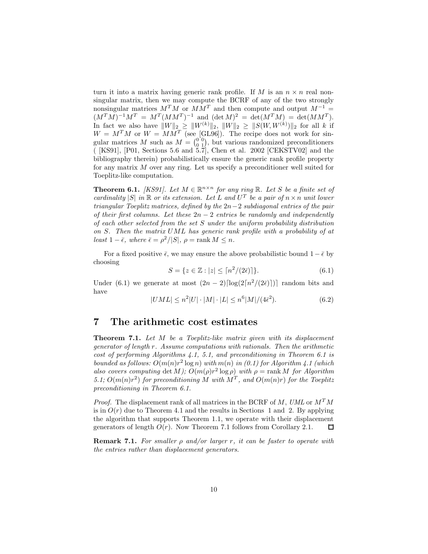turn it into a matrix having generic rank profile. If M is an  $n \times n$  real nonsingular matrix, then we may compute the BCRF of any of the two strongly nonsingular matrices  $M^T M$  or  $M M^T$  and then compute and output  $M^{-1} =$  $(M^T M)^{-1} M^T = M^T (M M^T)^{-1}$  and  $(\det M)^2 = \det(M^T M) = \det(M M^T)$ . In fact we also have  $||W||_2 \ge ||W^{(k)}||_2$ ,  $||W||_2 \ge ||S(W, W^{(k)})||_2$  for all k if  $W = M^{T}M$  or  $W = MM^{T}$  (see [GL96]). The recipe does not work for singular matrices M such as  $M = \begin{pmatrix} 0 & 0 \\ 0 & 1 \end{pmatrix}$ , but various randomized preconditioners<br>([KS91] [P01, Sections 5.6 and 5.7] Chen et al. 2002 [CEKSTV02] and the ( [KS91], [P01, Sections 5.6 and 5.7], Chen et al. 2002 [CEKSTV02] and the bibliography therein) probabilistically ensure the generic rank profile property for any matrix M over any ring. Let us specify a preconditioner well suited for Toeplitz-like computation.

**Theorem 6.1.** *[KS91].* Let  $M \in \mathbb{R}^{n \times n}$  for any ring  $\mathbb{R}$ . Let S be a finite set of *cardinality*  $|S|$  *in*  $\mathbb R$  *or its extension. Let*  $L$  *and*  $U^T$  *be a pair of*  $n \times n$  *unit lower triangular Toeplitz matrices, defined by the* 2n−2 *subdiagonal entries of the pair of their first columns. Let these* 2n − 2 *entries be randomly and independently of each other selected from the set* S *under the uniform probability distribution on* S*. Then the matrix* UML *has generic rank profile with a probability of at least*  $1 - \bar{\epsilon}$ *, where*  $\bar{\epsilon} = \rho^2/|S|$ *,*  $\rho = \text{rank } M \leq n$ *.* 

For a fixed positive  $\bar{\epsilon}$ , we may ensure the above probabilistic bound  $1-\bar{\epsilon}$  by choosing

$$
S = \{ z \in \mathbb{Z} : |z| \le \lceil n^2/(2\bar{\epsilon}) \rceil \}. \tag{6.1}
$$

Under (6.1) we generate at most  $(2n-2)\lceil \log(2\lceil n^2/(2\bar{\epsilon}) \rceil) \rceil$  random bits and have

$$
|UML| \le n^2|U| \cdot |M| \cdot |L| \le n^6|M|/(4\bar{\epsilon}^2). \tag{6.2}
$$

#### **7 The arithmetic cost estimates**

**Theorem 7.1.** *Let* <sup>M</sup> *be a Toeplitz-like matrix given with its displacement generator of length* r*. Assume computations with rationals. Then the arithmetic cost of performing Algorithms 4.1, 5.1, and preconditioning in Theorem 6.1 is bounded as follows:*  $O(m(n)r^2 \log n)$  *with*  $m(n)$  *in (0.1) for Algorithm 4.1 (which also covers computing* det M);  $O(m(\rho)r^2 \log \rho)$  with  $\rho = \text{rank } M$  for Algorithm 5.1;  $O(m(n)r^2)$  *for preconditioning* M *with*  $M^T$ *, and*  $O(m(n)r)$  *for the Toeplitz preconditioning in Theorem 6.1.*

*Proof.* The displacement rank of all matrices in the BCRF of M, *UML* or  $M^T M$ is in  $O(r)$  due to Theorem 4.1 and the results in Sections 1 and 2. By applying the algorithm that supports Theorem 1.1, we operate with their displacement generators of length  $O(r)$ . Now Theorem 7.1 follows from Corollary 2.1.  $\Box$ 

**Remark 7.1.** *For smaller* <sup>ρ</sup> *and/or larger* <sup>r</sup>*, it can be faster to operate with the entries rather than displacement generators.*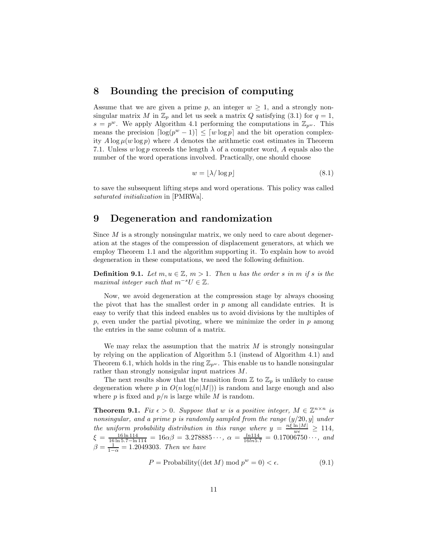#### **8 Bounding the precision of computing**

Assume that we are given a prime p, an integer  $w \geq 1$ , and a strongly nonsingular matrix M in  $\mathbb{Z}_p$  and let us seek a matrix Q satisfying (3.1) for  $q=1$ ,  $s = p^w$ . We apply Algorithm 4.1 performing the computations in  $\mathbb{Z}_{p^w}$ . This means the precision  $\lceil \log(p^w - 1) \rceil \leq \lceil w \log p \rceil$  and the bit operation complexity  $A \log \mu(w \log p)$  where A denotes the arithmetic cost estimates in Theorem 7.1. Unless w log p exceeds the length  $\lambda$  of a computer word, A equals also the number of the word operations involved. Practically, one should choose

$$
w = \lfloor \lambda / \log p \rfloor \tag{8.1}
$$

to save the subsequent lifting steps and word operations. This policy was called *saturated initialization* in [PMRWa].

## **9 Degeneration and randomization**

Since  $M$  is a strongly nonsingular matrix, we only need to care about degeneration at the stages of the compression of displacement generators, at which we employ Theorem 1.1 and the algorithm supporting it. To explain how to avoid degeneration in these computations, we need the following definition.

**Definition 9.1.** *Let*  $m, u \in \mathbb{Z}$ ,  $m > 1$ *. Then* u *has the order* s *in* m *if* s *is the maximal integer such that* m*−*<sup>s</sup>U ∈ Z*.*

Now, we avoid degeneration at the compression stage by always choosing the pivot that has the smallest order in  $p$  among all candidate entries. It is easy to verify that this indeed enables us to avoid divisions by the multiples of  $p$ , even under the partial pivoting, where we minimize the order in  $p$  among the entries in the same column of a matrix.

We may relax the assumption that the matrix  $M$  is strongly nonsingular by relying on the application of Algorithm 5.1 (instead of Algorithm 4.1) and Theorem 6.1, which holds in the ring  $\mathbb{Z}_{p^w}$ . This enable us to handle nonsingular rather than strongly nonsigular input matrices M.

The next results show that the transition from  $\mathbb{Z}$  to  $\mathbb{Z}_p$  is unlikely to cause degeneration where p in  $O(n \log(n|M|))$  is random and large enough and also where p is fixed and  $p/n$  is large while M is random.

**Theorem 9.1.** *Fix*  $\epsilon > 0$ *. Suppose that* w *is a positive integer,*  $M \in \mathbb{Z}^{n \times n}$  *is nonsingular, and a prime* p *is randomly sampled from the range* (y/20, y] *under the uniform probability distribution in this range where*  $y = \frac{n\xi \ln |M|}{w \epsilon} \geq 114$ ,  $\xi = \frac{16 \ln 114}{16 \ln 5.7 - \ln 114} = 16\alpha\beta = 3.278885 \cdots$ ,  $\alpha = \frac{\ln 114}{16 \ln 5.7} = 0.17006750 \cdots$ , and<br>  $\beta = \frac{1}{1-\alpha} = 1.2049303$ *. Then we have* 

$$
P = \text{Probability}((\det M) \bmod p^{w} = 0) < \epsilon. \tag{9.1}
$$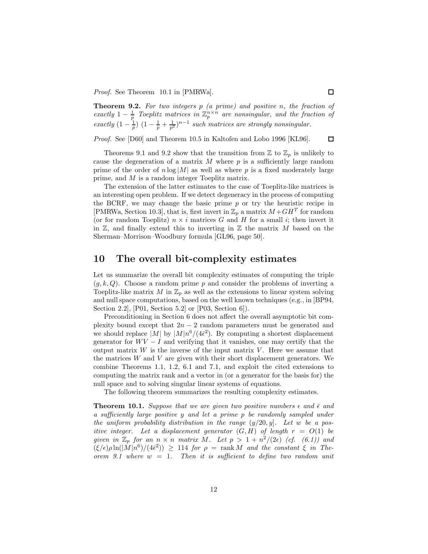*Proof.* See Theorem 10.1 in [PMRWa].

**Theorem 9.2.** *For two integers*  $p$  *(a prime)* and positive *n*, the fraction of exactly  $1 - \frac{1}{p}$  Toeplitz matrices in  $\mathbb{Z}_p^{n \times n}$  are nonsingular, and the fraction of *exactly*  $\left(1-\frac{1}{p}\right)(1-\frac{1}{p}+\frac{1}{p^2})^{n-1}$  *such matrices are strongly nonsingular.* 

*Proof.* See [D60] and Theorem 10.5 in Kaltofen and Lobo 1996 [KL96].  $\Box$ 

Theorems 9.1 and 9.2 show that the transition from  $\mathbb{Z}$  to  $\mathbb{Z}_p$  is unlikely to cause the degeneration of a matrix  $M$  where  $p$  is a sufficiently large random prime of the order of  $n \log|M|$  as well as where p is a fixed moderately large prime, and M is a random integer Toeplitz matrix.

The extension of the latter estimates to the case of Toeplitz-like matrices is an interesting open problem. If we detect degeneracy in the process of computing the BCRF, we may change the basic prime  $p$  or try the heuristic recipe in [PMRWa, Section 10.3], that is, first invert in  $\mathbb{Z}_p$  a matrix  $M + GH^T$  for random (or for random Toeplitz)  $n \times i$  matrices G and H for a small i; then invert it in  $\mathbb{Z}$ , and finally extend this to inverting in  $\mathbb{Z}$  the matrix M based on the Sherman–Morrison–Woodbury formula [GL96, page 50].

#### **10 The overall bit-complexity estimates**

Let us summarize the overall bit complexity estimates of computing the triple  $(q, k, Q)$ . Choose a random prime p and consider the problems of inverting a Toeplitz-like matrix M in  $\mathbb{Z}_p$  as well as the extensions to linear system solving and null space computations, based on the well known techniques (e.g., in [BP94, Section 2.2], [P01, Section 5.2] or [P03, Section 6]).

Preconditioning in Section 6 does not affect the overall asymptotic bit complexity bound except that  $2n-2$  random parameters must be generated and we should replace  $|M|$  by  $|M|n^6/(4\bar{\epsilon}^2)$ . By computing a shortest displacement generator for  $WV - I$  and verifying that it vanishes, one may certify that the output matrix  $W$  is the inverse of the input matrix  $V$ . Here we assume that the matrices  $W$  and  $V$  are given with their short displacement generators. We combine Theorems 1.1, 1.2, 6.1 and 7.1, and exploit the cited extensions to computing the matrix rank and a vector in (or a generator for the basis for) the null space and to solving singular linear systems of equations.

The following theorem summarizes the resulting complexity estimates.

**Theorem 10.1.** Suppose that we are given two positive numbers  $\epsilon$  and  $\bar{\epsilon}$  and *a sufficiently large positive* y *and let a prime* p *be randomly sampled under the uniform probability distribution in the range* (y/20, y]*. Let* w *be a positive integer.* Let a displacement generator  $(G, H)$  of length  $r = O(1)$  be *given in*  $\mathbb{Z}_p$  *for an*  $n \times n$  *matrix M.* Let  $p > 1 + n^2/(2\epsilon)$  *(cf. (6.1)) and*  $(\xi/\epsilon)\rho \ln(|M|n^6)/(4\bar{\epsilon}^2)$ )  $\geq$  114 *for*  $\rho = \text{rank } M$  *and the constant*  $\xi$  *in Theorem 9.1 where* w = 1*. Then it is sufficient to define two random unit*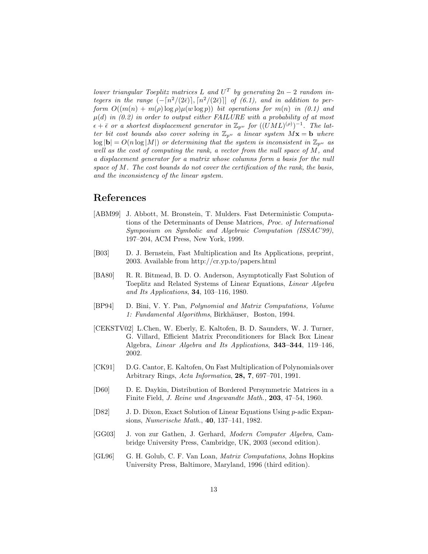*lower triangular Toeplitz matrices* L and  $U^T$  by generating  $2n - 2$  random in*tegers in the range*  $\left(-\frac{n^2}{2\epsilon}\right], \frac{n^2}{2\epsilon}\right]$  *of*  $(6.1)$ *, and in addition to perform*  $O((m(n) + m(\rho) \log \rho) \mu(w \log p))$  *bit operations for*  $m(n)$  *in* (0.1) and  $\mu(d)$  *in (0.2) in order to output either FAILURE with a probability of at most*  $\epsilon + \bar{\epsilon}$  *or a shortest displacement generator in*  $\mathbb{Z}_{p^w}$  *for*  $((UML)^{(\rho)})^{-1}$ *. The latter bit cost bounds also cover solving in*  $\mathbb{Z}_{p^w}$  *a linear system*  $M\mathbf{x} = \mathbf{b}$  *where*  $\log |\mathbf{b}| = O(n \log |M|)$  *or determining that the system is inconsistent in*  $\mathbb{Z}_{p^w}$  *as well as the cost of computing the rank, a vector from the null space of* M*, and a displacement generator for a matrix whose columns form a basis for the null space of* M*. The cost bounds do not cover the certification of the rank, the basis, and the inconsistency of the linear system.*

## **References**

- [ABM99] J. Abbott, M. Bronstein, T. Mulders. Fast Deterministic Computations of the Determinants of Dense Matrices, *Proc. of International Symposium on Symbolic and Algebraic Computation (ISSAC'99)*, 197–204, ACM Press, New York, 1999.
- [B03] D. J. Bernstein, Fast Multiplication and Its Applications, preprint, 2003. Available from http://cr.yp.to/papers.html
- [BA80] R. R. Bitmead, B. D. O. Anderson, Asymptotically Fast Solution of Toeplitz and Related Systems of Linear Equations, *Linear Algebra and Its Applications*, **34**, 103–116, 1980.
- [BP94] D. Bini, V. Y. Pan, *Polynomial and Matrix Computations, Volume* 1: Fundamental Algorithms, Birkhäuser, Boston, 1994.
- [CEKSTV02] L.Chen, W. Eberly, E. Kaltofen, B. D. Saunders, W. J. Turner, G. Villard, Efficient Matrix Preconditioners for Black Box Linear Algebra, *Linear Algebra and Its Applications*, **343–344**, 119–146, 2002.
- [CK91] D.G. Cantor, E. Kaltofen, On Fast Multiplication of Polynomials over Arbitrary Rings, *Acta Informatica*, **28, 7**, 697–701, 1991.
- [D60] D. E. Daykin, Distribution of Bordered Persymmetric Matrices in a Finite Field, *J. Reine und Angewandte Math.,* **203**, 47–54, 1960.
- [D82] J. D. Dixon, Exact Solution of Linear Equations Using p-adic Expansions, *Numerische Math.*, **40**, 137–141, 1982.
- [GG03] J. von zur Gathen, J. Gerhard, *Modern Computer Algebra*, Cambridge University Press, Cambridge, UK, 2003 (second edition).
- [GL96] G. H. Golub, C. F. Van Loan, *Matrix Computations*, Johns Hopkins University Press, Baltimore, Maryland, 1996 (third edition).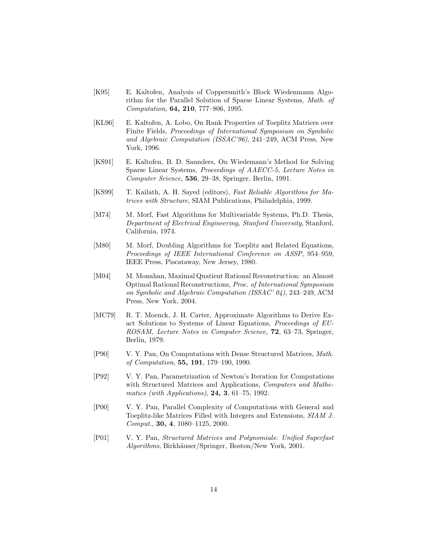- [K95] E. Kaltofen, Analysis of Coppersmith's Block Wiedenmann Algorithm for the Parallel Solution of Sparse Linear Systems, *Math. of Computation*, **64, 210**, 777–806, 1995.
- [KL96] E. Kaltofen, A. Lobo, On Rank Properties of Toeplitz Matrices over Finite Fields, *Proceedings of International Symposium on Symbolic and Algebraic Computation (ISSAC'96)*, 241–249, ACM Press, New York, 1996.
- [KS91] E. Kaltofen, B. D. Saunders, On Wiedemann's Method for Solving Sparse Linear Systems, *Proceedings of AAECC-5, Lecture Notes in Computer Science*, **536**, 29–38, Springer, Berlin, 1991.
- [KS99] T. Kailath, A. H. Sayed (editors), *Fast Reliable Algorithms for Matrices with Structure*, SIAM Publications, Philadelphia, 1999.
- [M74] M. Morf, Fast Algorithms for Multivariable Systems, Ph.D. Thesis, *Department of Electrical Engineering, Stanford University,* Stanford, California, 1974.
- [M80] M. Morf, Doubling Algorithms for Toeplitz and Related Equations, *Proceedings of IEEE International Conference on ASSP*, 954–959, IEEE Press, Piscataway, New Jersey, 1980.
- [M04] M. Monahan, Maximal Quatient Rational Reconstruction: an Almost Optimal Rational Reconstructions, *Proc. of International Symposium on Symbolic and Algebraic Computation (ISSAC' 04)*, 243–249, ACM Press, New York, 2004.
- [MC79] R. T. Moenck, J. H. Carter, Approximate Algorithms to Derive Exact Solutions to Systems of Linear Equations, *Proceedings of EU-ROSAM, Lecture Notes in Computer Science*, **72**, 63–73, Springer, Berlin, 1979.
- [P90] V. Y. Pan, On Computations with Dense Structured Matrices, *Math. of Computation*, **55, 191**, 179–190, 1990.
- [P92] V. Y. Pan, Parametrization of Newton's Iteration for Computations with Structured Matrices and Applications, *Computers and Mathematics (with Applications)*, **24, 3**, 61–75, 1992.
- [P00] V. Y. Pan, Parallel Complexity of Computations with General and Toeplitz-like Matrices Filled with Integers and Extensions, *SIAM J. Comput.*, **30, 4**, 1080–1125, 2000.
- [P01] V. Y. Pan, *Structured Matrices and Polynomials: Unified Superfast Algorithms*, Birkhäuser/Springer, Boston/New York, 2001.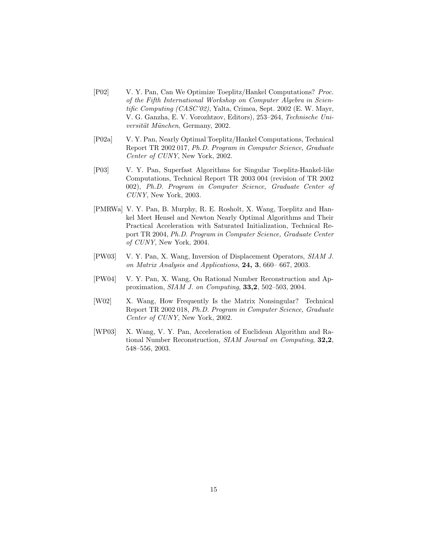- [P02] V. Y. Pan, Can We Optimize Toeplitz/Hankel Computations? *Proc. of the Fifth International Workshop on Computer Algebra in Scientific Computing (CASC'02)*, Yalta, Crimea, Sept. 2002 (E. W. Mayr, V. G. Ganzha, E. V. Vorozhtzov, Editors), 253–264, *Technische Universit¨at M¨unchen*, Germany, 2002.
- [P02a] V. Y. Pan, Nearly Optimal Toeplitz/Hankel Computations, Technical Report TR 2002 017, *Ph.D. Program in Computer Science, Graduate Center of CUNY*, New York, 2002.
- [P03] V. Y. Pan, Superfast Algorithms for Singular Toeplitz-Hankel-like Computations, Technical Report TR 2003 004 (revision of TR 2002 002), *Ph.D. Program in Computer Science, Graduate Center of CUNY*, New York, 2003.
- [PMRWa] V. Y. Pan, B. Murphy, R. E. Rosholt, X. Wang, Toeplitz and Hankel Meet Hensel and Newton Nearly Optimal Algorithms and Their Practical Acceleration with Saturated Initialization, Technical Report TR 2004, *Ph.D. Program in Computer Science, Graduate Center of CUNY*, New York, 2004.
- [PW03] V. Y. Pan, X. Wang, Inversion of Displacement Operators, *SIAM J. on Matrix Analysis and Applications*, **24, 3**, 660– 667, 2003.
- [PW04] V. Y. Pan, X. Wang, On Rational Number Reconstruction and Approximation, *SIAM J. on Computing*, **33,2**, 502–503, 2004.
- [W02] X. Wang, How Frequently Is the Matrix Nonsingular? Technical Report TR 2002 018, *Ph.D. Program in Computer Science, Graduate Center of CUNY*, New York, 2002.
- [WP03] X. Wang, V. Y. Pan, Acceleration of Euclidean Algorithm and Rational Number Reconstruction, *SIAM Journal on Computing*, **32,2**, 548–556, 2003.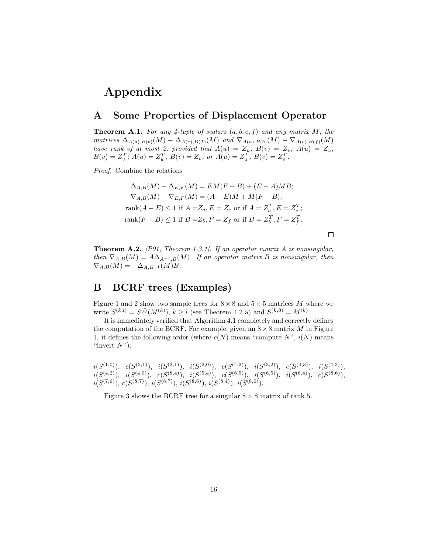# **Appendix**

## **A Some Properties of Displacement Operator**

**Theorem A.1.** *For any 4-tuple of scalars*  $(a, b, e, f)$  *and any matrix*  $M$ *, the*<br>*matrices*  $\Delta$   $\mu$ ,  $\mu$   $\mu$   $\mu$   $\Delta$   $\mu$ ,  $\mu$   $\alpha$   $\mu$   $\alpha$   $\mu$   $\Delta$   $\mu$   $\lambda$   $\mu$   $\alpha$   $\mu$   $\alpha$ *matrices*  $\Delta_{A(a),B(b)}(M) - \Delta_{A(e),B(f)}(M)$  and  $\nabla_{A(a),B(b)}(M) - \nabla_{A(e),B(f)}(M)$ <br>*have rank of at most 2, provided that*  $A(u) = Z_u$ ,  $B(v) = Z_v$ ;  $A(u) = Z_u$ ,  $B(v) = Z_v^T$ ;  $A(u) = Z_u^T$ ,  $B(v) = Z_v$ , or  $A(u) = Z_u^T$ ,  $B(v) = Z_v^T$ .

*Proof.* Combine the relations

$$
\Delta_{A,B}(M) - \Delta_{E,F}(M) = EM(F - B) + (E - A)MB;
$$
  
\n
$$
\nabla_{A,B}(M) - \nabla_{E,F}(M) = (A - E)M + M(F - B);
$$
  
\n
$$
rank(A - E) \le 1 \text{ if } A = Z_a, E = Z_e \text{ or if } A = Z_a^T, E = Z_e^T;
$$
  
\n
$$
rank(F - B) \le 1 \text{ if } B = Z_b, F = Z_f \text{ or if } B = Z_b^T, F = Z_f^T.
$$

 $\Box$ 

**Theorem A.2.** *[P01, Theorem 1.3.1]. If an operator matrix* <sup>A</sup> *is nonsingular, then*  $\nabla_{A,B}(M) = A\Delta_{A^{-1},B}(M)$ *. If an operator matrix B is nonsingular, then*  $\nabla_{A,B}(M) = -\Delta_{A,B^{-1}}(M)B.$ 

### **B BCRF trees (Examples)**

Figure 1 and 2 show two sample trees for  $8 \times 8$  and  $5 \times 5$  matrices M where we write  $S^{(k,l)} = S^{(l)}(M^{(k)}), k \ge l$  (see Theorem 4.2 a) and  $S^{(k,0)} = M^{(k)}$ .

It is immediately verified that Algorithm 4.1 completely and correctly defines the computation of the BCRF. For example, given an  $8 \times 8$  matrix M in Figure 1, it defines the following order (where  $c(N)$  means "compute  $N$ ",  $i(N)$  means "invert  $N$ "):

 $i(S^{(1,0)}), c(S^{(2,1)}), i(S^{(2,1)}), i(S^{(2,0)}), c(S^{(4,2)}), i(S^{(3,2)}), c(S^{(4,3)}), i(S^{(4,3)}),$  $i(S^{(4,2)})$ ,  $i(S^{(4,0)})$ ,  $c(S^{(8,4)})$ ,  $i(S^{(5,4)})$ ,  $c(S^{(6,5)})$ ,  $i(S^{(6,5)})$ ,  $i(S^{(6,4)})$ ,  $c(S^{(8,6)})$ ,  $i(S^{(7,6)}), c(S^{(8,7)}), i(S^{(8,7)}), i(S^{(8,6)}), i(S^{(8,4)}), i(S^{(8,0)}).$ 

Figure 3 shows the BCRF tree for a singular  $8 \times 8$  matrix of rank 5.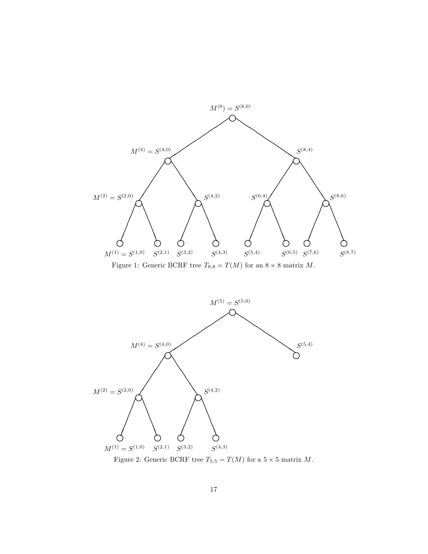

Figure 1: Generic BCRF tree  $T_{8,8}=T(M)$  for an  $8\times 8$  matrix  $M.$ 



Figure 2: Generic BCRF tree  $T_{5,5} = T(M)$  for a  $5 \times 5$  matrix  $M$ .